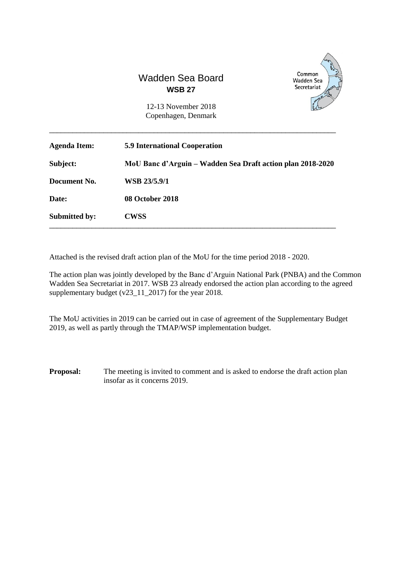



12-13 November 2018 Copenhagen, Denmark

| <b>Agenda Item:</b>  | <b>5.9 International Cooperation</b>                       |
|----------------------|------------------------------------------------------------|
| Subject:             | MoU Banc d'Arguin – Wadden Sea Draft action plan 2018-2020 |
| Document No.         | WSB 23/5.9/1                                               |
| Date:                | 08 October 2018                                            |
| <b>Submitted by:</b> | <b>CWSS</b>                                                |

\_\_\_\_\_\_\_\_\_\_\_\_\_\_\_\_\_\_\_\_\_\_\_\_\_\_\_\_\_\_\_\_\_\_\_\_\_\_\_\_\_\_\_\_\_\_\_\_\_\_\_\_\_\_\_\_\_\_\_\_\_\_\_\_\_\_\_\_\_\_\_\_\_\_

Attached is the revised draft action plan of the MoU for the time period 2018 - 2020.

The action plan was jointly developed by the Banc d'Arguin National Park (PNBA) and the Common Wadden Sea Secretariat in 2017. WSB 23 already endorsed the action plan according to the agreed supplementary budget (v23\_11\_2017) for the year 2018.

The MoU activities in 2019 can be carried out in case of agreement of the Supplementary Budget 2019, as well as partly through the TMAP/WSP implementation budget.

**Proposal:** The meeting is invited to comment and is asked to endorse the draft action plan insofar as it concerns 2019.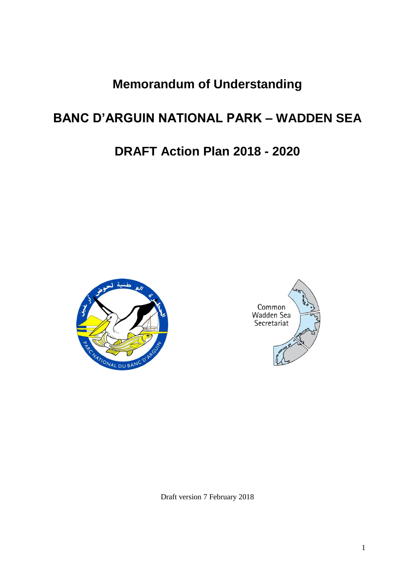**Memorandum of Understanding**

# **BANC D'ARGUIN NATIONAL PARK – WADDEN SEA**

# **DRAFT Action Plan 2018 - 2020**





Draft version 7 February 2018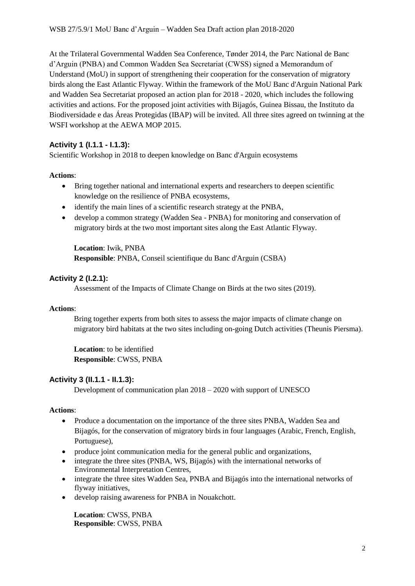At the Trilateral Governmental Wadden Sea Conference, Tønder 2014, the Parc National de Banc d'Arguin (PNBA) and Common Wadden Sea Secretariat (CWSS) signed a Memorandum of Understand (MoU) in support of strengthening their cooperation for the conservation of migratory birds along the East Atlantic Flyway. Within the framework of the MoU Banc d'Arguin National Park and Wadden Sea Secretariat proposed an action plan for 2018 - 2020, which includes the following activities and actions. For the proposed joint activities with Bijagós, Guinea Bissau, the Instituto da Biodiversidade e das Áreas Protegidas (IBAP) will be invited. All three sites agreed on twinning at the WSFI workshop at the AEWA MOP 2015.

## **Activity 1 (I.1.1 - I.1.3):**

Scientific Workshop in 2018 to deepen knowledge on Banc d'Arguin ecosystems

### **Actions**:

- Bring together national and international experts and researchers to deepen scientific knowledge on the resilience of PNBA ecosystems,
- identify the main lines of a scientific research strategy at the PNBA.
- develop a common strategy (Wadden Sea PNBA) for monitoring and conservation of migratory birds at the two most important sites along the East Atlantic Flyway.

**Location**: Iwik, PNBA **Responsible**: PNBA, Conseil scientifique du Banc d'Arguin (CSBA)

## **Activity 2 (I.2.1):**

Assessment of the Impacts of Climate Change on Birds at the two sites (2019).

### **Actions**:

Bring together experts from both sites to assess the major impacts of climate change on migratory bird habitats at the two sites including on-going Dutch activities (Theunis Piersma).

**Location**: to be identified **Responsible**: CWSS, PNBA

## **Activity 3 (II.1.1 - II.1.3):**

Development of communication plan 2018 – 2020 with support of UNESCO

## **Actions**:

- Produce a documentation on the importance of the three sites PNBA, Wadden Sea and Bijagós, for the conservation of migratory birds in four languages (Arabic, French, English, Portuguese),
- produce joint communication media for the general public and organizations,
- integrate the three sites (PNBA, WS, Bijagós) with the international networks of Environmental Interpretation Centres,
- integrate the three sites Wadden Sea, PNBA and Bijagós into the international networks of flyway initiatives,
- develop raising awareness for PNBA in Nouakchott.

**Location**: CWSS, PNBA **Responsible**: CWSS, PNBA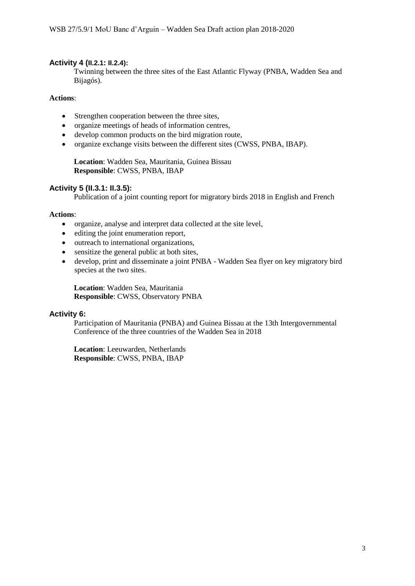#### **Activity 4 (II.2.1: II.2.4):**

Twinning between the three sites of the East Atlantic Flyway (PNBA, Wadden Sea and Bijagós).

#### **Actions**:

- Strengthen cooperation between the three sites,
- organize meetings of heads of information centres,
- develop common products on the bird migration route,
- organize exchange visits between the different sites (CWSS, PNBA, IBAP).

**Location**: Wadden Sea, Mauritania, Guinea Bissau **Responsible**: CWSS, PNBA, IBAP

#### **Activity 5 (II.3.1: II.3.5):**

Publication of a joint counting report for migratory birds 2018 in English and French

#### **Actions**:

- organize, analyse and interpret data collected at the site level,
- editing the joint enumeration report,
- outreach to international organizations,
- sensitize the general public at both sites,
- develop, print and disseminate a joint PNBA Wadden Sea flyer on key migratory bird species at the two sites.

**Location**: Wadden Sea, Mauritania **Responsible**: CWSS, Observatory PNBA

#### **Activity 6:**

Participation of Mauritania (PNBA) and Guinea Bissau at the 13th Intergovernmental Conference of the three countries of the Wadden Sea in 2018

**Location**: Leeuwarden, Netherlands **Responsible**: CWSS, PNBA, IBAP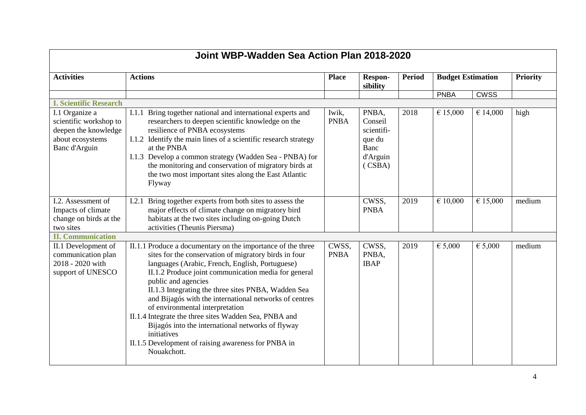| Joint WBP-Wadden Sea Action Plan 2018-2020                                                                  |                                                                                                                                                                                                                                                                                                                                                                                                                                                                                                                                                                                                               |                      |                                                                        |               |                          |             |                 |  |
|-------------------------------------------------------------------------------------------------------------|---------------------------------------------------------------------------------------------------------------------------------------------------------------------------------------------------------------------------------------------------------------------------------------------------------------------------------------------------------------------------------------------------------------------------------------------------------------------------------------------------------------------------------------------------------------------------------------------------------------|----------------------|------------------------------------------------------------------------|---------------|--------------------------|-------------|-----------------|--|
| <b>Activities</b>                                                                                           | <b>Actions</b>                                                                                                                                                                                                                                                                                                                                                                                                                                                                                                                                                                                                | <b>Place</b>         | <b>Respon-</b><br>sibility                                             | <b>Period</b> | <b>Budget Estimation</b> |             | <b>Priority</b> |  |
|                                                                                                             |                                                                                                                                                                                                                                                                                                                                                                                                                                                                                                                                                                                                               |                      |                                                                        |               | <b>PNBA</b>              | <b>CWSS</b> |                 |  |
| <b>I. Scientific Research</b>                                                                               |                                                                                                                                                                                                                                                                                                                                                                                                                                                                                                                                                                                                               |                      |                                                                        |               |                          |             |                 |  |
| I.1 Organize a<br>scientific workshop to<br>deepen the knowledge<br>about ecosystems<br>Banc d'Arguin       | Bring together national and international experts and<br>I.1.1<br>researchers to deepen scientific knowledge on the<br>resilience of PNBA ecosystems<br>I.1.2 Identify the main lines of a scientific research strategy<br>at the PNBA<br>I.1.3 Develop a common strategy (Wadden Sea - PNBA) for<br>the monitoring and conservation of migratory birds at<br>the two most important sites along the East Atlantic<br>Flyway                                                                                                                                                                                  | Iwik,<br><b>PNBA</b> | PNBA,<br>Conseil<br>scientifi-<br>que du<br>Banc<br>d'Arguin<br>(CSBA) | 2018          | € 15,000                 | € 14,000    | high            |  |
| I.2. Assessment of<br>Impacts of climate<br>change on birds at the<br>two sites<br><b>II. Communication</b> | Bring together experts from both sites to assess the<br>I.2.1<br>major effects of climate change on migratory bird<br>habitats at the two sites including on-going Dutch<br>activities (Theunis Piersma)                                                                                                                                                                                                                                                                                                                                                                                                      |                      | CWSS,<br><b>PNBA</b>                                                   | 2019          | € 10,000                 | € 15,000    | medium          |  |
| II.1 Development of<br>communication plan<br>2018 - 2020 with<br>support of UNESCO                          | II.1.1 Produce a documentary on the importance of the three<br>sites for the conservation of migratory birds in four<br>languages (Arabic, French, English, Portuguese)<br>II.1.2 Produce joint communication media for general<br>public and agencies<br>II.1.3 Integrating the three sites PNBA, Wadden Sea<br>and Bijagós with the international networks of centres<br>of environmental interpretation<br>II.1.4 Integrate the three sites Wadden Sea, PNBA and<br>Bijagós into the international networks of flyway<br>initiatives<br>II.1.5 Development of raising awareness for PNBA in<br>Nouakchott. | CWSS,<br><b>PNBA</b> | CWSS,<br>PNBA,<br><b>IBAP</b>                                          | 2019          | € 5,000                  | € 5,000     | medium          |  |